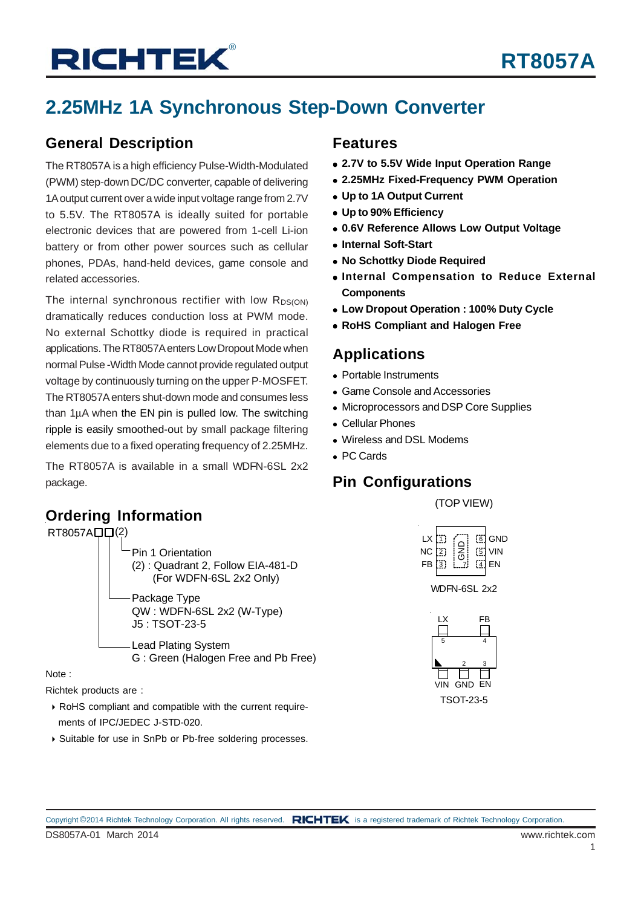## **2.25MHz 1A Synchronous Step-Down Converter**

### **General Description**

The RT8057A is a high efficiency Pulse-Width-Modulated (PWM) step-down DC/DC converter, capable of delivering 1A output current over a wide input voltage range from 2.7V to 5.5V. The RT8057A is ideally suited for portable electronic devices that are powered from 1-cell Li-ion battery or from other power sources such as cellular phones, PDAs, hand-held devices, game console and related accessories.

The internal synchronous rectifier with low  $R_{DS(ON)}$ dramatically reduces conduction loss at PWM mode. No external Schottky diode is required in practical applications. The RT8057A enters Low Dropout Mode when normal Pulse -Width Mode cannot provide regulated output voltage by continuously turning on the upper P-MOSFET. The RT8057A enters shut-down mode and consumes less than  $1\mu$ A when the EN pin is pulled low. The switching ripple is easily smoothed-out by small package filtering elements due to a fixed operating frequency of 2.25MHz.

The RT8057A is available in a small WDFN-6SL 2x2 package.

### **Features**

- **2.7V to 5.5V Wide Input Operation Range**
- **2.25MHz Fixed-Frequency PWM Operation**
- **Up to 1A Output Current**
- **Up to 90% Efficiency**
- **0.6V Reference Allows Low Output Voltage**
- **Internal Soft-Start**
- **No Schottky Diode Required**
- **Internal Compensation to Reduce External Components**
- **Low Dropout Operation : 100% Duty Cycle**
- **RoHS Compliant and Halogen Free**

### **Applications**

- Portable Instruments
- Game Console and Accessories
- Microprocessors and DSP Core Supplies
- Cellular Phones
- Wireless and DSL Modems
- PC Cards

## **Pin Configurations**

(TOP VIEW)



WDFN-6SL 2x2



**Ordering Information**



J5 : TSOT-23-5

G : Green (Halogen Free and Pb Free)

Lead Plating System

Note :

Richtek products are :

- RoHS compliant and compatible with the current require ments of IPC/JEDEC J-STD-020.
- ▶ Suitable for use in SnPb or Pb-free soldering processes.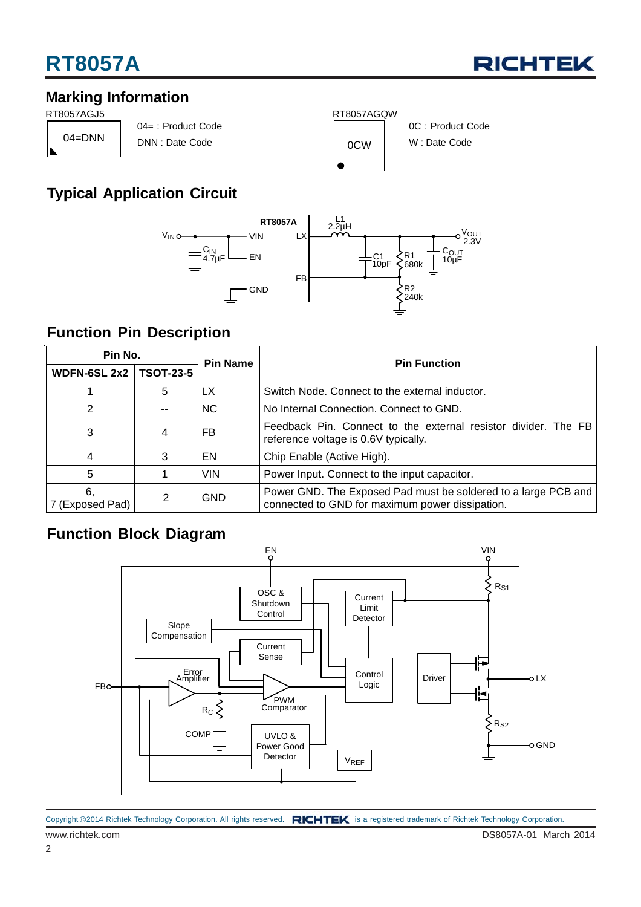

### **Marking Information**

04=DNN

04= : Product Code DNN : Date Code 0CW





#### 0C : Product Code W : Date Code

## **Typical Application Circuit**



### **Function Pin Description**

| Pin No.                         |    | <b>Pin Name</b> | <b>Pin Function</b>                                                                                               |  |  |
|---------------------------------|----|-----------------|-------------------------------------------------------------------------------------------------------------------|--|--|
| <b>WDFN-6SL 2x2   TSOT-23-5</b> |    |                 |                                                                                                                   |  |  |
|                                 | 5  | LX              | Switch Node. Connect to the external inductor.                                                                    |  |  |
| 2                               | -- | <b>NC</b>       | No Internal Connection. Connect to GND.                                                                           |  |  |
| 3                               | 4  | FB              | Feedback Pin. Connect to the external resistor divider. The FB<br>reference voltage is 0.6V typically.            |  |  |
| 4                               | 3  | EN              | Chip Enable (Active High).                                                                                        |  |  |
| 5                               |    | <b>VIN</b>      | Power Input. Connect to the input capacitor.                                                                      |  |  |
| 6,<br>7 (Exposed Pad)           | 2  | <b>GND</b>      | Power GND. The Exposed Pad must be soldered to a large PCB and<br>connected to GND for maximum power dissipation. |  |  |

## **Function Block Diagram**

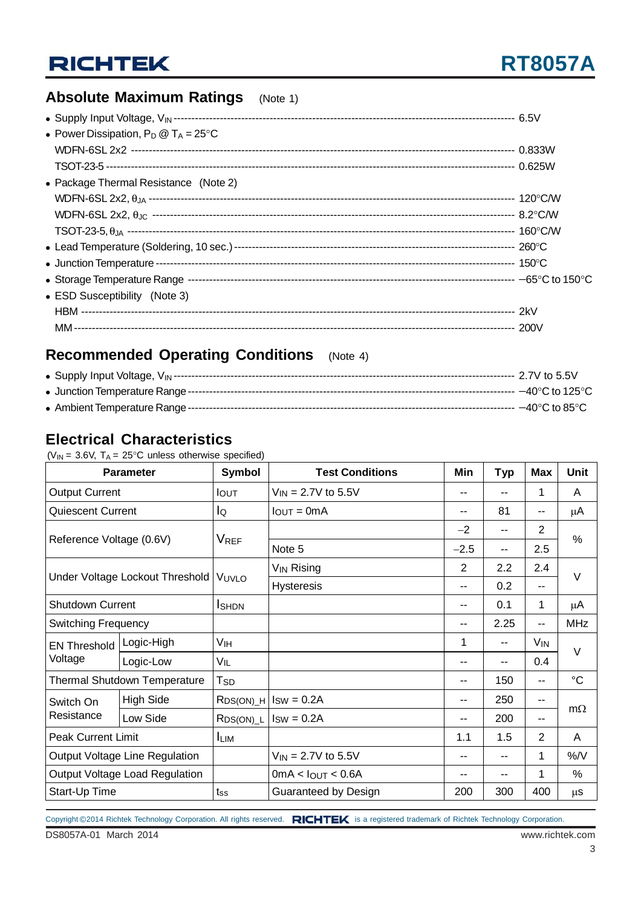## **Absolute Maximum Ratings** (Note 1)

| • Power Dissipation, $P_D @ T_A = 25^{\circ}C$ |  |
|------------------------------------------------|--|
|                                                |  |
|                                                |  |
| • Package Thermal Resistance (Note 2)          |  |
|                                                |  |
|                                                |  |
|                                                |  |
|                                                |  |
|                                                |  |
|                                                |  |
| • ESD Susceptibility (Note 3)                  |  |
|                                                |  |
|                                                |  |

### **Recommended Operating Conditions** (Note 4)

Ambient Temperature Range-------------------------------------------------------------------------------------------- −40°C to 85°C

### **Electrical Characteristics**

( $V_{IN}$  = 3.6V,  $T_A$  = 25°C unless otherwise specified)

| <b>Parameter</b>                    |                                 | Symbol                 | <b>Test Conditions</b>         | Min            | <b>Typ</b> | <b>Max</b>      | <b>Unit</b>     |  |
|-------------------------------------|---------------------------------|------------------------|--------------------------------|----------------|------------|-----------------|-----------------|--|
| <b>Output Current</b>               |                                 | <b>IOUT</b>            | $V_{IN} = 2.7V$ to 5.5V        | --             |            | 1               | A               |  |
| <b>Quiescent Current</b>            |                                 | lo                     | $I_{\text{OUT}} = 0 \text{mA}$ | --             | 81         | --              | μA              |  |
|                                     |                                 | <b>V<sub>REF</sub></b> |                                | $-2$           | --         | $\overline{2}$  | $\%$            |  |
| Reference Voltage (0.6V)            |                                 |                        | Note 5                         | $-2.5$         | --         | 2.5             |                 |  |
|                                     |                                 |                        | V <sub>IN</sub> Rising         | $\overline{2}$ | 2.2        | 2.4             |                 |  |
|                                     | Under Voltage Lockout Threshold | VUVLO                  | <b>Hysteresis</b>              | --             | 0.2        | --              | V               |  |
| <b>Shutdown Current</b>             |                                 | <b>I</b> SHDN          |                                | --             | 0.1        | 1               | μA              |  |
| <b>Switching Frequency</b>          |                                 |                        |                                | --             | 2.25       | --              | <b>MHz</b>      |  |
| <b>EN Threshold</b>                 | Logic-High                      | Vıн                    |                                | 1              | --         | V <sub>IN</sub> | $\vee$          |  |
| Voltage                             | Logic-Low                       | VIL                    |                                | --             | --         | 0.4             |                 |  |
| <b>Thermal Shutdown Temperature</b> |                                 | <b>T</b> <sub>SD</sub> |                                | --             | 150        | --              | $\rm ^{\circ}C$ |  |
| Switch On                           | <b>High Side</b>                | $RDS(ON)$ <sup>H</sup> | $ISW = 0.2A$                   | --             | 250        | --              | $m\Omega$       |  |
| Resistance                          | Low Side                        | $RDS(ON)_{L}$          | $ISW = 0.2A$                   | --             | 200        | --              |                 |  |
| <b>Peak Current Limit</b>           |                                 | $I_{LIM}$              |                                | 1.1            | 1.5        | $\overline{2}$  | A               |  |
| Output Voltage Line Regulation      |                                 |                        | $V_{IN} = 2.7V$ to 5.5V        | --             | --         | 1               | %/V             |  |
| Output Voltage Load Regulation      |                                 |                        | $0mA <$ lout < 0.6A            | --             | --         |                 | $\%$            |  |
| Start-Up Time                       |                                 | $t_{SS}$               | Guaranteed by Design           | 200            | 300        | 400             | <b>us</b>       |  |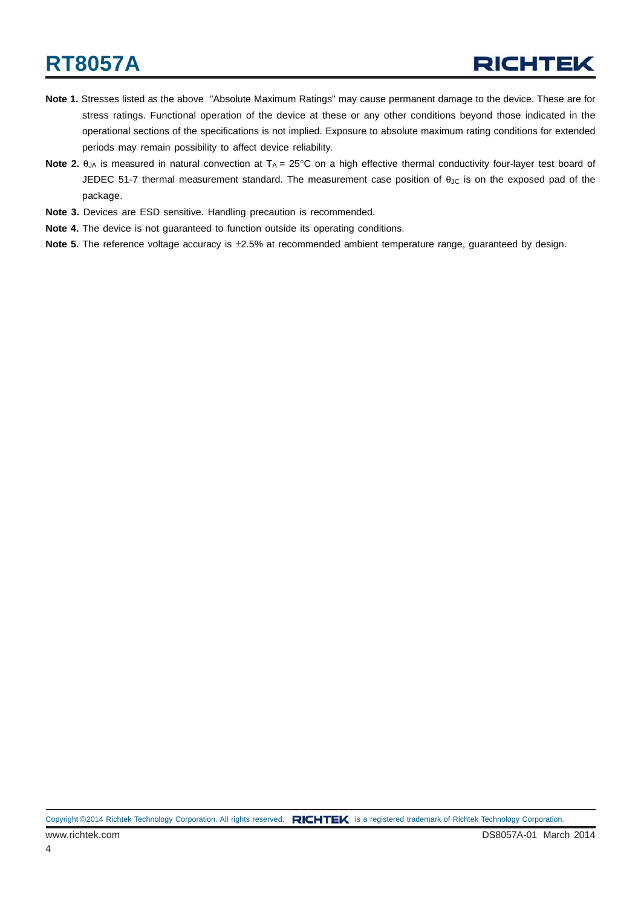- **Note 1.** Stresses listed as the above "Absolute Maximum Ratings" may cause permanent damage to the device. These are for stress ratings. Functional operation of the device at these or any other conditions beyond those indicated in the operational sections of the specifications is not implied. Exposure to absolute maximum rating conditions for extended periods may remain possibility to affect device reliability.
- **Note 2.**  $\theta_{JA}$  is measured in natural convection at  $T_A = 25^\circ \text{C}$  on a high effective thermal conductivity four-layer test board of JEDEC 51-7 thermal measurement standard. The measurement case position of θ<sub>JC</sub> is on the exposed pad of the package.
- **Note 3.** Devices are ESD sensitive. Handling precaution is recommended.
- **Note 4.** The device is not guaranteed to function outside its operating conditions.
- **Note 5.** The reference voltage accuracy is ±2.5% at recommended ambient temperature range, guaranteed by design.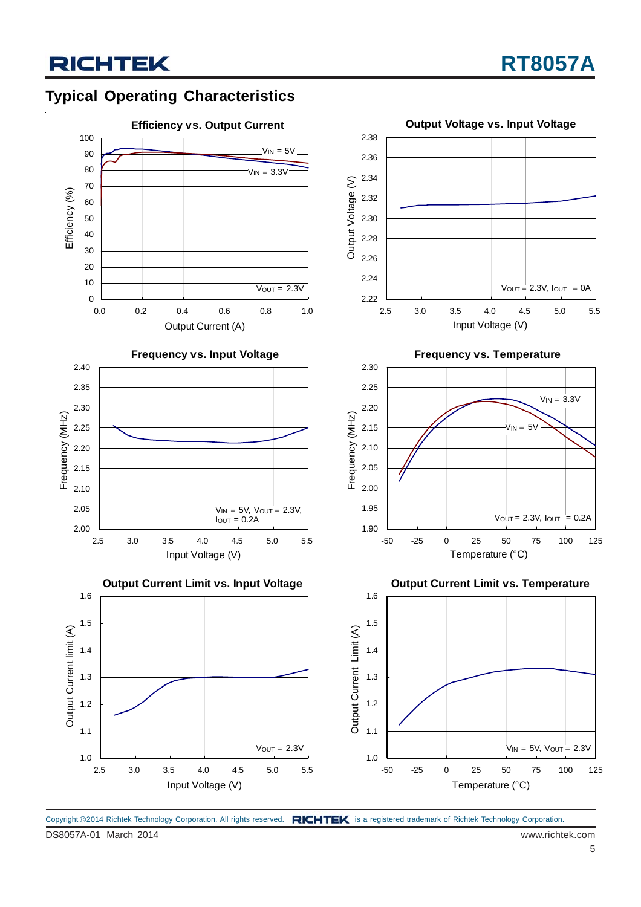## **Typical Operating Characteristics**



DS8057A-01 March 2014 www.richtek.com Copyright ©2014 Richtek Technology Corporation. All rights reserved. RICHTEK is a registered trademark of Richtek Technology Corporation.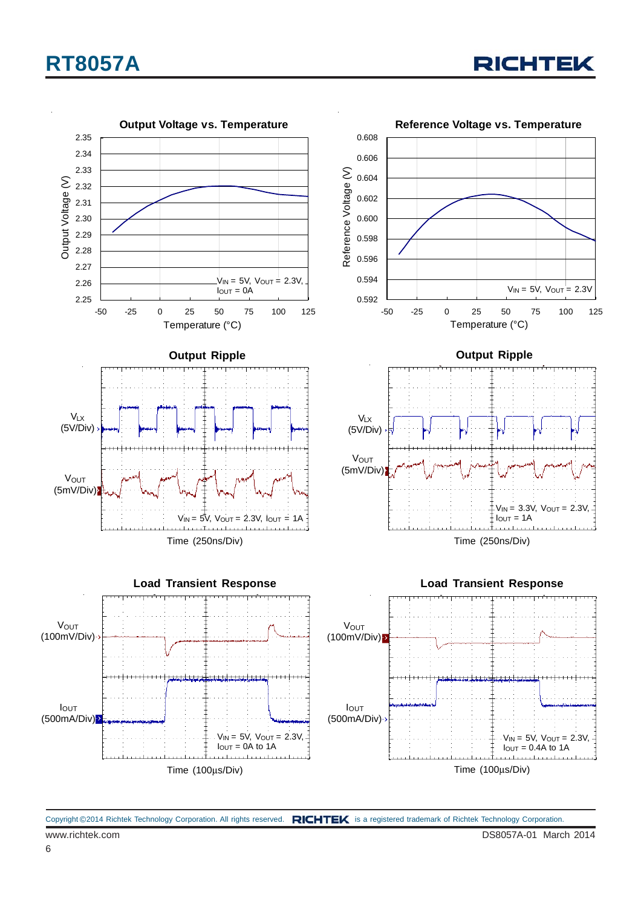

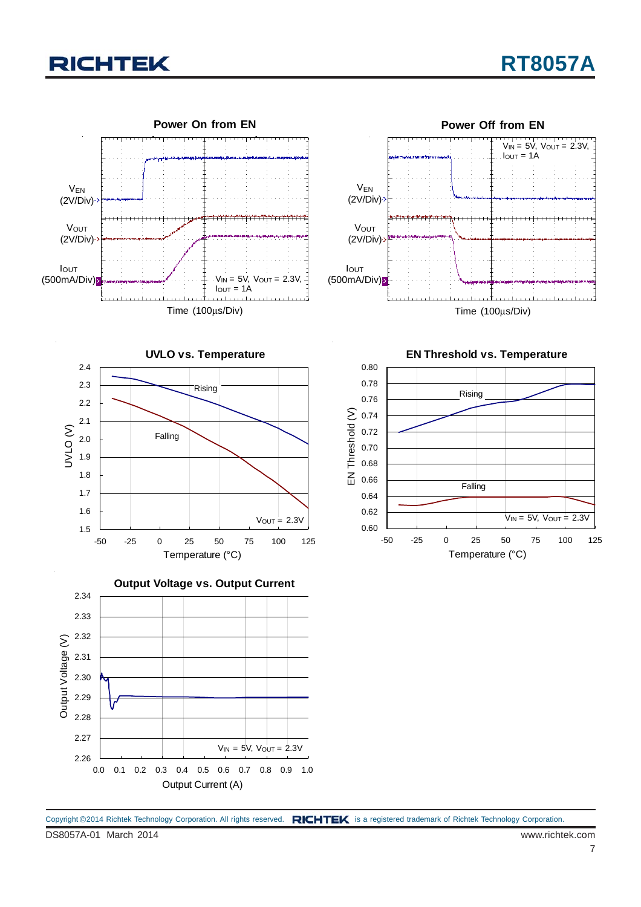



**UVLO vs. Temperature** 1.5 1.6 1.7 1.8 1.9 2.0 2.1 2.2 2.3 2.4 -50 -25 0 25 50 75 100 125 Temperature (°C) UVLO (V)  $V_{OUT} = 2.3V$ Rising Falling



**Output Voltage vs. Output Current** 2.34 2.33 2.32 Output Voltage (V) Output Voltage (V) 2.31 2.30 2.29 2.28 2.27  $V_{IN} = 5V$ ,  $V_{OUT} = 2.3V$ 2.26 0.0 0.1 0.2 0.3 0.4 0.5 0.6 0.7 0.8 0.9 1.0 Output Current (A)

DS8057A-01 March 2014 www.richtek.com Copyright ©2014 Richtek Technology Corporation. All rights reserved. RICHTEK is a registered trademark of Richtek Technology Corporation.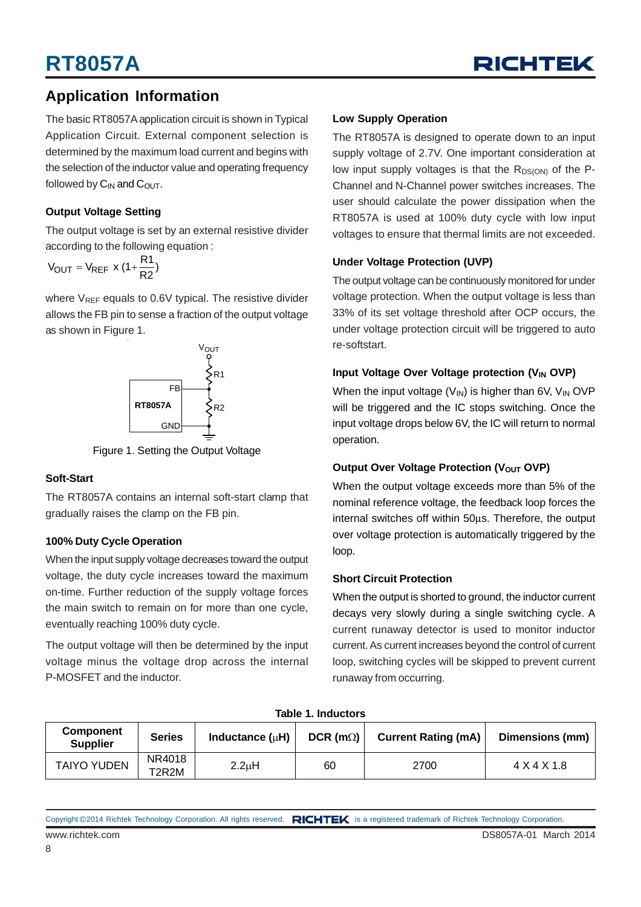

### **Application Information**

The basic RT8057A application circuit is shown in Typical Application Circuit. External component selection is determined by the maximum load current and begins with the selection of the inductor value and operating frequency followed by  $C_{IN}$  and  $C_{OUT}$ .

#### **Output Voltage Setting**

The output voltage is set by an external resistive divider according to the following equation :

$$
V_{\text{OUT}} = V_{\text{REF}} \times (1 + \frac{R1}{R2})
$$

where  $V_{REF}$  equals to 0.6V typical. The resistive divider allows the FB pin to sense a fraction of the output voltage as shown in Figure 1.



Figure 1. Setting the Output Voltage

#### **Soft-Start**

The RT8057A contains an internal soft-start clamp that gradually raises the clamp on the FB pin.

#### **100% Duty Cycle Operation**

When the input supply voltage decreases toward the output voltage, the duty cycle increases toward the maximum on-time. Further reduction of the supply voltage forces the main switch to remain on for more than one cycle, eventually reaching 100% duty cycle.

The output voltage will then be determined by the input voltage minus the voltage drop across the internal P-MOSFET and the inductor.

#### **Low Supply Operation**

The RT8057A is designed to operate down to an input supply voltage of 2.7V. One important consideration at low input supply voltages is that the  $R_{DS(ON)}$  of the P-Channel and N-Channel power switches increases. The user should calculate the power dissipation when the RT8057A is used at 100% duty cycle with low input voltages to ensure that thermal limits are not exceeded.

#### **Under Voltage Protection (UVP)**

The output voltage can be continuously monitored for under voltage protection. When the output voltage is less than 33% of its set voltage threshold after OCP occurs, the under voltage protection circuit will be triggered to auto re-softstart.

#### **Input Voltage Over Voltage protection (V<sub>IN</sub> OVP)**

When the input voltage  $(V_{\text{IN}})$  is higher than 6V,  $V_{\text{IN}}$  OVP will be triggered and the IC stops switching. Once the input voltage drops below 6V, the IC will return to normal operation.

#### **Output Over Voltage Protection (VOUT OVP)**

When the output voltage exceeds more than 5% of the nominal reference voltage, the feedback loop forces the internal switches off within 50μs. Therefore, the output over voltage protection is automatically triggered by the loop.

#### **Short Circuit Protection**

When the output is shorted to ground, the inductor current decays very slowly during a single switching cycle. A current runaway detector is used to monitor inductor current. As current increases beyond the control of current loop, switching cycles will be skipped to prevent current runaway from occurring.

| Table T. Inductors                  |                 |                      |                     |                            |                 |  |
|-------------------------------------|-----------------|----------------------|---------------------|----------------------------|-----------------|--|
| <b>Component</b><br><b>Supplier</b> | <b>Series</b>   | Inductance $(\mu H)$ | $DCR$ (m $\Omega$ ) | <b>Current Rating (mA)</b> | Dimensions (mm) |  |
| <b>TAIYO YUDEN</b>                  | NR4018<br>T2R2M | 2.2 <sub>u</sub> H   | 60                  | 2700                       | 4 X 4 X 1.8     |  |

**Table 1. Inductors**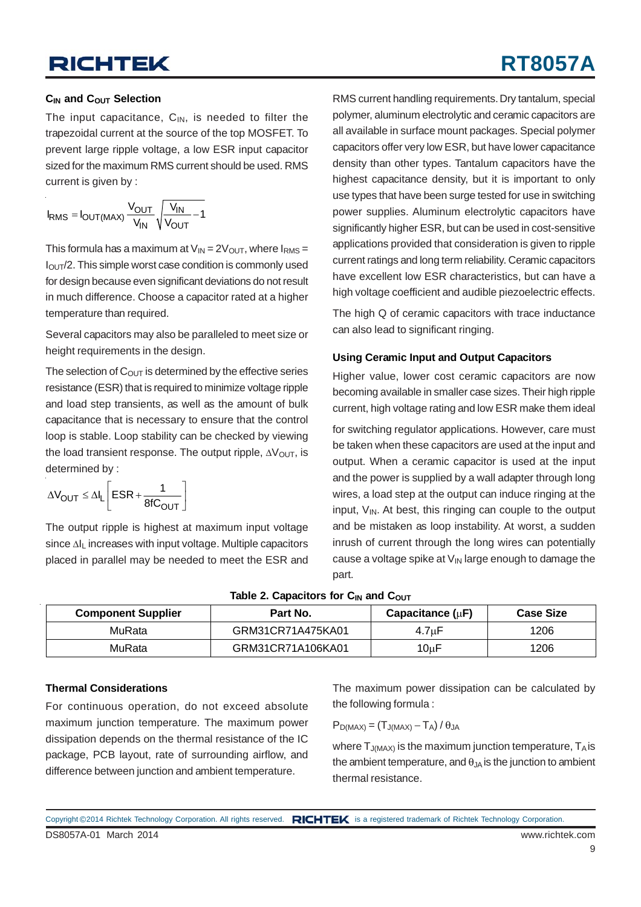#### **C<sub>IN</sub>** and C<sub>OUT</sub> Selection

The input capacitance,  $C_{\text{IN}}$ , is needed to filter the trapezoidal current at the source of the top MOSFET. To prevent large ripple voltage, a low ESR input capacitor sized for the maximum RMS current should be used. RMS current is given by :

$$
I_{RMS} = I_{OUT(MAX)} \frac{V_{OUT}}{V_{IN}} \sqrt{\frac{V_{IN}}{V_{OUT}} - 1}
$$

This formula has a maximum at  $V_{IN} = 2V_{OUT}$ , where  $I_{RMS} =$ IOUT/2. This simple worst case condition is commonly used for design because even significant deviations do not result in much difference. Choose a capacitor rated at a higher temperature than required.

Several capacitors may also be paralleled to meet size or height requirements in the design.

The selection of  $C<sub>OUT</sub>$  is determined by the effective series resistance (ESR) that is required to minimize voltage ripple and load step transients, as well as the amount of bulk capacitance that is necessary to ensure that the control loop is stable. Loop stability can be checked by viewing the load transient response. The output ripple,  $\Delta V_{\text{OUT}}$ , is determined by :

$$
\Delta V_{OUT} \leq \Delta I_L \left[ESR + \frac{1}{8fC_{OUT}}\right]
$$

The output ripple is highest at maximum input voltage since ΔIL increases with input voltage. Multiple capacitors placed in parallel may be needed to meet the ESR and

RMS current handling requirements. Dry tantalum, special polymer, aluminum electrolytic and ceramic capacitors are all available in surface mount packages. Special polymer capacitors offer very low ESR, but have lower capacitance density than other types. Tantalum capacitors have the highest capacitance density, but it is important to only use types that have been surge tested for use in switching power supplies. Aluminum electrolytic capacitors have significantly higher ESR, but can be used in cost-sensitive applications provided that consideration is given to ripple current ratings and long term reliability. Ceramic capacitors have excellent low ESR characteristics, but can have a high voltage coefficient and audible piezoelectric effects.

The high Q of ceramic capacitors with trace inductance can also lead to significant ringing.

#### **Using Ceramic Input and Output Capacitors**

Higher value, lower cost ceramic capacitors are now becoming available in smaller case sizes. Their high ripple current, high voltage rating and low ESR make them ideal

for switching regulator applications. However, care must be taken when these capacitors are used at the input and output. When a ceramic capacitor is used at the input and the power is supplied by a wall adapter through long wires, a load step at the output can induce ringing at the input,  $V_{IN}$ . At best, this ringing can couple to the output and be mistaken as loop instability. At worst, a sudden inrush of current through the long wires can potentially cause a voltage spike at  $V_{\text{IN}}$  large enough to damage the part.

| <b>HODIO 4: OGDOOROIDI O IOI ON GIRLOUI</b> |                   |                       |                  |  |  |  |
|---------------------------------------------|-------------------|-----------------------|------------------|--|--|--|
| <b>Component Supplier</b>                   | Part No.          | Capacitance $(\mu F)$ | <b>Case Size</b> |  |  |  |
| MuRata                                      | GRM31CR71A475KA01 | $4.7 \mu F$           | 1206             |  |  |  |
| MuRata                                      | GRM31CR71A106KA01 | $10\mu F$             | 1206             |  |  |  |

#### **Table 2. Capacitors for CIN and COUT**

#### **Thermal Considerations**

For continuous operation, do not exceed absolute maximum junction temperature. The maximum power dissipation depends on the thermal resistance of the IC package, PCB layout, rate of surrounding airflow, and difference between junction and ambient temperature.

The maximum power dissipation can be calculated by the following formula :

$$
P_{D(MAX)} = (T_{J(MAX)} - T_A) / \theta_{JA}
$$

where  $T_{J(MAX)}$  is the maximum junction temperature,  $T_A$  is the ambient temperature, and  $\theta_{JA}$  is the junction to ambient thermal resistance.

9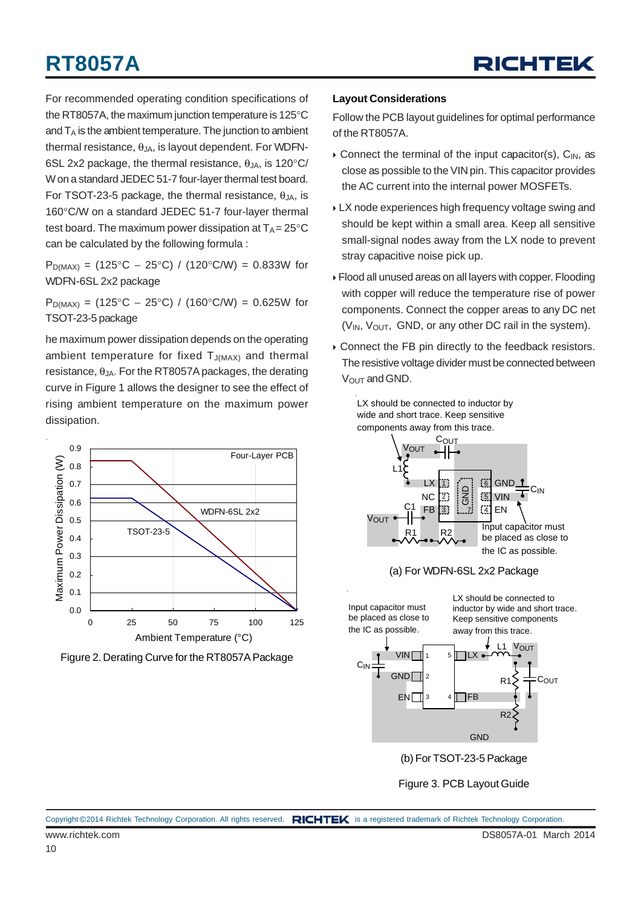

For recommended operating condition specifications of the RT8057A, the maximum junction temperature is 125°C and  $T_A$  is the ambient temperature. The junction to ambient thermal resistance,  $\theta_{JA}$ , is layout dependent. For WDFN-6SL 2x2 package, the thermal resistance,  $\theta_{JA}$ , is 120 $\degree$ C/ W on a standard JEDEC 51-7 four-layer thermal test board. For TSOT-23-5 package, the thermal resistance,  $θ_{JA}$ , is 160°C/W on a standard JEDEC 51-7 four-layer thermal test board. The maximum power dissipation at  $T_A = 25^{\circ}C$ can be calculated by the following formula :

 $P_{D(MAX)} = (125^{\circ}C - 25^{\circ}C) / (120^{\circ}C/W) = 0.833W$  for WDFN-6SL 2x2 package

 $P_{D(MAX)} = (125^{\circ}C - 25^{\circ}C) / (160^{\circ}C/W) = 0.625W$  for TSOT-23-5 package

he maximum power dissipation depends on the operating ambient temperature for fixed  $T_{J(MAX)}$  and thermal resistance,  $θ_{JA}$ . For the RT8057A packages, the derating curve in Figure 1 allows the designer to see the effect of rising ambient temperature on the maximum power dissipation.



Figure 2. Derating Curve for the RT8057A Package

#### **Layout Considerations**

Follow the PCB layout guidelines for optimal performance of the RT8057A.

- $\triangleright$  Connect the terminal of the input capacitor(s), C<sub>IN</sub>, as close as possible to the VIN pin. This capacitor provides the AC current into the internal power MOSFETs.
- LX node experiences high frequency voltage swing and should be kept within a small area. Keep all sensitive small-signal nodes away from the LX node to prevent stray capacitive noise pick up.
- Flood all unused areas on all layers with copper. Flooding with copper will reduce the temperature rise of power components. Connect the copper areas to any DC net  $(V_{IN}, V_{OUT}, GND, or any other DC rail in the system).$
- Connect the FB pin directly to the feedback resistors. The resistive voltage divider must be connected between  $V<sub>OUT</sub>$  and GND.

LX should be connected to inductor by



Figure 3. PCB Layout Guide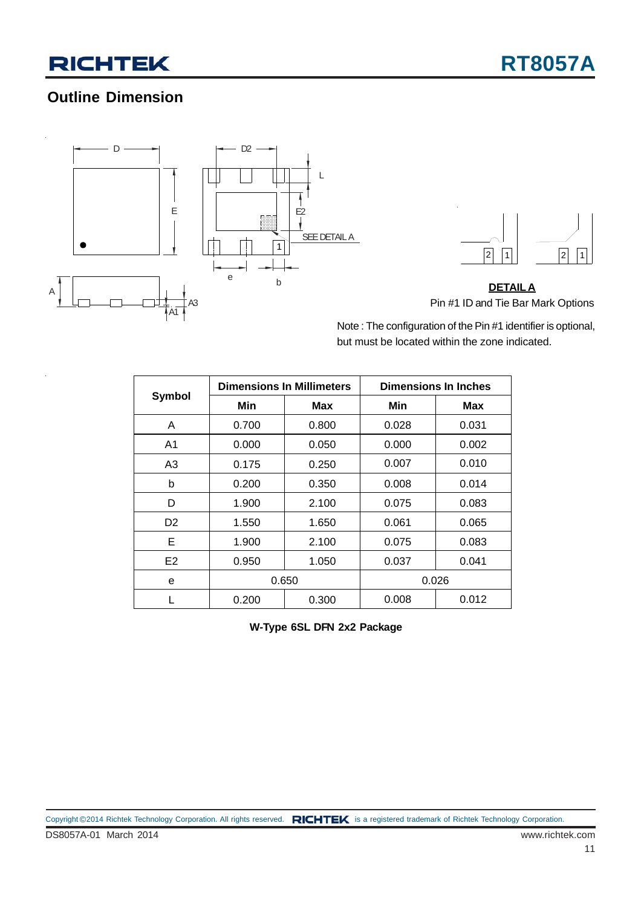## **Outline Dimension**





**DETAILA** Pin #1 ID and Tie Bar Mark Options

Note : The configuration of the Pin #1 identifier is optional, but must be located within the zone indicated.

| Symbol         |       | <b>Dimensions In Millimeters</b> | <b>Dimensions In Inches</b> |       |  |
|----------------|-------|----------------------------------|-----------------------------|-------|--|
|                | Min   | <b>Max</b>                       | Min                         | Max   |  |
| A              | 0.700 | 0.800                            | 0.028                       | 0.031 |  |
| A <sub>1</sub> | 0.000 | 0.050                            | 0.000                       | 0.002 |  |
| A3             | 0.175 | 0.250                            | 0.007                       | 0.010 |  |
| b              | 0.200 | 0.350                            | 0.008                       | 0.014 |  |
| D              | 1.900 | 2.100                            | 0.075                       | 0.083 |  |
| D <sub>2</sub> | 1.550 | 1.650                            | 0.061                       | 0.065 |  |
| Е              | 1.900 | 2.100                            | 0.075                       | 0.083 |  |
| E <sub>2</sub> | 0.950 | 1.050                            | 0.037                       | 0.041 |  |
| e              |       | 0.650                            |                             | 0.026 |  |
|                | 0.200 | 0.300                            | 0.008                       | 0.012 |  |

**W-Type 6SL DFN 2x2 Package**